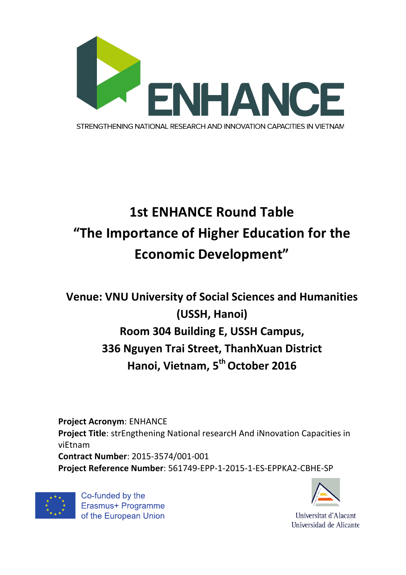

## **1st ENHANCE Round Table** "The Importance of Higher Education for the **Economic Development"**

## **Venue: VNU University of Social Sciences and Humanities (USSH, Hanoi) Room 304 Building E, USSH Campus, 336 Nguyen Trai Street, ThanhXuan District Hanoi, Vietnam, 5<sup>th</sup> October 2016**

**Project Acronym: ENHANCE Project Title**: strEngthening National researcH And iNnovation Capacities in viEtnam **Contract Number**: 2015-3574/001-001 **Project Reference Number**: 561749-EPP-1-2015-1-ES-EPPKA2-CBHE-SP



Co-funded by the Erasmus+ Programme of the European Union



Universitat d'Alacant Universidad de Alicante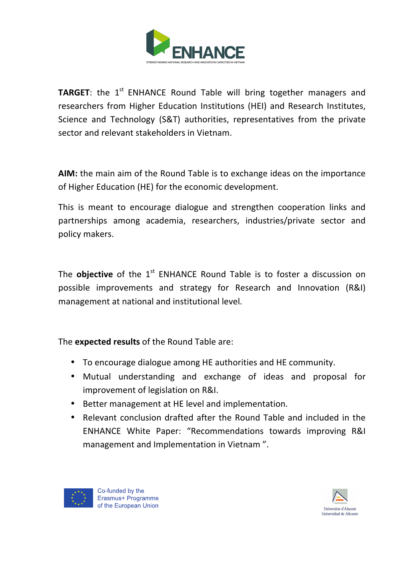

**TARGET:** the 1<sup>st</sup> ENHANCE Round Table will bring together managers and researchers from Higher Education Institutions (HEI) and Research Institutes, Science and Technology (S&T) authorities, representatives from the private sector and relevant stakeholders in Vietnam.

**AIM:** the main aim of the Round Table is to exchange ideas on the importance of Higher Education (HE) for the economic development.

This is meant to encourage dialogue and strengthen cooperation links and partnerships among academia, researchers, industries/private sector and policy makers.

The **objective** of the 1<sup>st</sup> ENHANCE Round Table is to foster a discussion on possible improvements and strategy for Research and Innovation (R&I) management at national and institutional level.

The **expected results** of the Round Table are:

- To encourage dialogue among HE authorities and HE community.
- Mutual understanding and exchange of ideas and proposal for improvement of legislation on R&I.
- Better management at HE level and implementation.
- Relevant conclusion drafted after the Round Table and included in the ENHANCE White Paper: "Recommendations towards improving R&I management and Implementation in Vietnam".